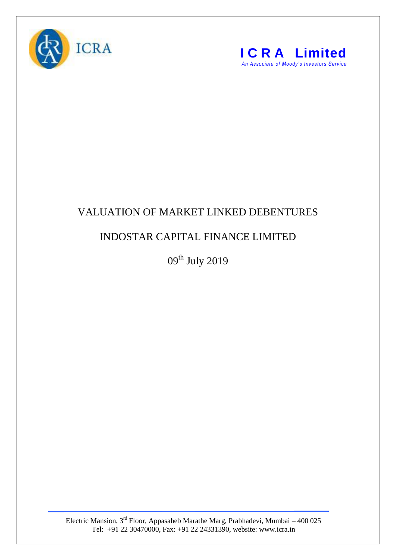



## VALUATION OF MARKET LINKED DEBENTURES

## INDOSTAR CAPITAL FINANCE LIMITED

 $09^{\text{th}}$  July 2019

Electric Mansion,  $3<sup>rd</sup>$  Floor, Appasaheb Marathe Marg, Prabhadevi, Mumbai – 400 025 Tel: +91 22 30470000, Fax: +91 22 24331390, website: www.icra.in